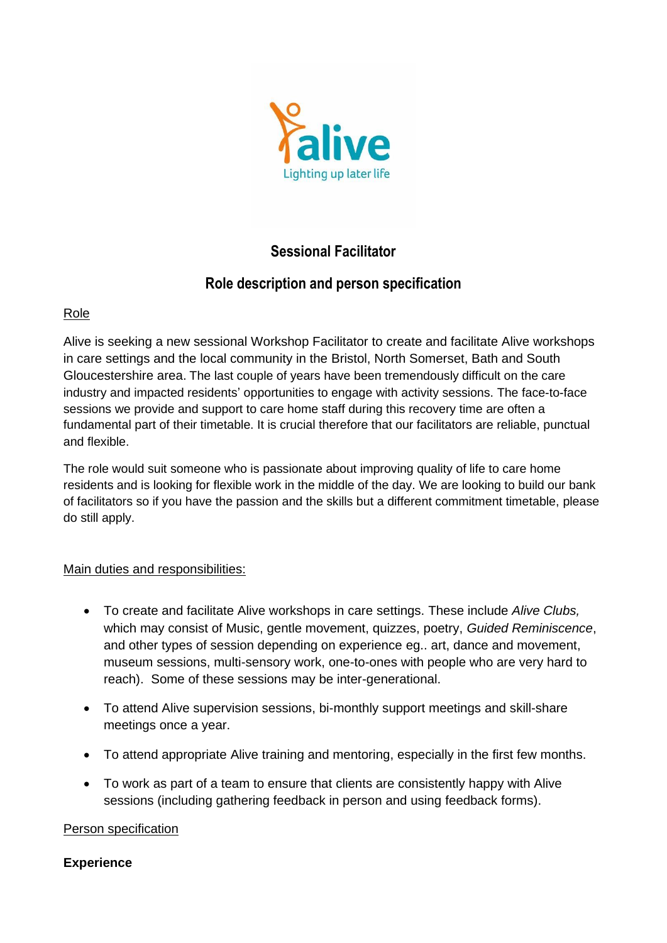

# **Sessional Facilitator**

# **Role description and person specification**

### Role

Alive is seeking a new sessional Workshop Facilitator to create and facilitate Alive workshops in care settings and the local community in the Bristol, North Somerset, Bath and South Gloucestershire area. The last couple of years have been tremendously difficult on the care industry and impacted residents' opportunities to engage with activity sessions. The face-to-face sessions we provide and support to care home staff during this recovery time are often a fundamental part of their timetable. It is crucial therefore that our facilitators are reliable, punctual and flexible.

The role would suit someone who is passionate about improving quality of life to care home residents and is looking for flexible work in the middle of the day. We are looking to build our bank of facilitators so if you have the passion and the skills but a different commitment timetable, please do still apply.

#### Main duties and responsibilities:

- To create and facilitate Alive workshops in care settings. These include *Alive Clubs,*  which may consist of Music, gentle movement, quizzes, poetry, *Guided Reminiscence*, and other types of session depending on experience eg.. art, dance and movement, museum sessions, multi-sensory work, one-to-ones with people who are very hard to reach). Some of these sessions may be inter-generational.
- To attend Alive supervision sessions, bi-monthly support meetings and skill-share meetings once a year.
- To attend appropriate Alive training and mentoring, especially in the first few months.
- To work as part of a team to ensure that clients are consistently happy with Alive sessions (including gathering feedback in person and using feedback forms).

#### Person specification

#### **Experience**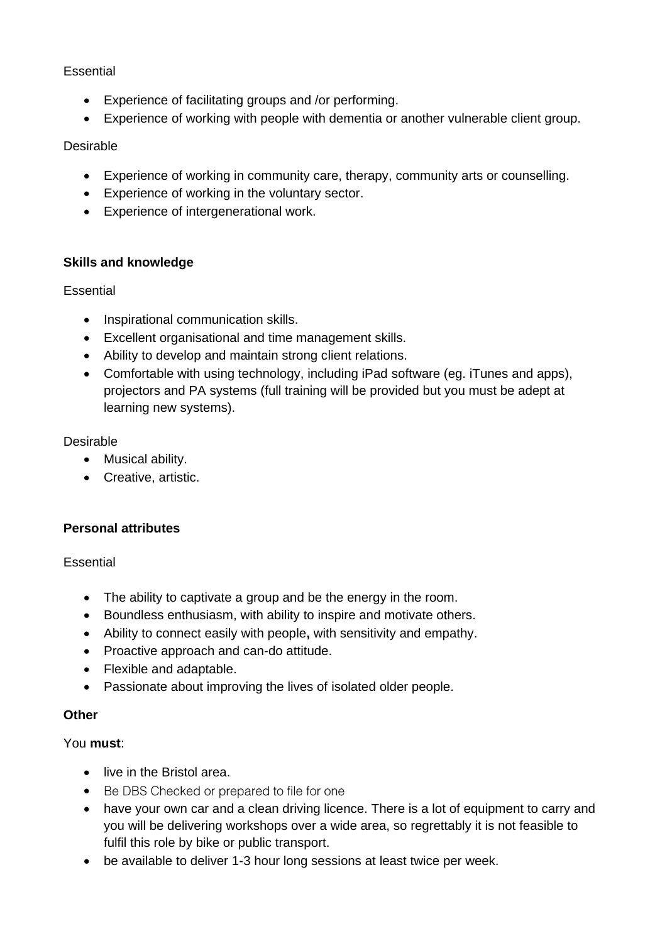## Essential

- Experience of facilitating groups and /or performing.
- Experience of working with people with dementia or another vulnerable client group.

### Desirable

- Experience of working in community care, therapy, community arts or counselling.
- Experience of working in the voluntary sector.
- Experience of intergenerational work.

#### **Skills and knowledge**

#### Essential

- Inspirational communication skills.
- Excellent organisational and time management skills.
- Ability to develop and maintain strong client relations.
- Comfortable with using technology, including iPad software (eg. iTunes and apps), projectors and PA systems (full training will be provided but you must be adept at learning new systems).

#### Desirable

- Musical ability.
- Creative, artistic.

#### **Personal attributes**

#### **Essential**

- The ability to captivate a group and be the energy in the room.
- Boundless enthusiasm, with ability to inspire and motivate others.
- Ability to connect easily with people**,** with sensitivity and empathy.
- Proactive approach and can-do attitude.
- Flexible and adaptable.
- Passionate about improving the lives of isolated older people.

#### **Other**

#### You **must**:

- live in the Bristol area.
- Be DBS Checked or prepared to file for one
- have your own car and a clean driving licence. There is a lot of equipment to carry and you will be delivering workshops over a wide area, so regrettably it is not feasible to fulfil this role by bike or public transport.
- be available to deliver 1-3 hour long sessions at least twice per week.